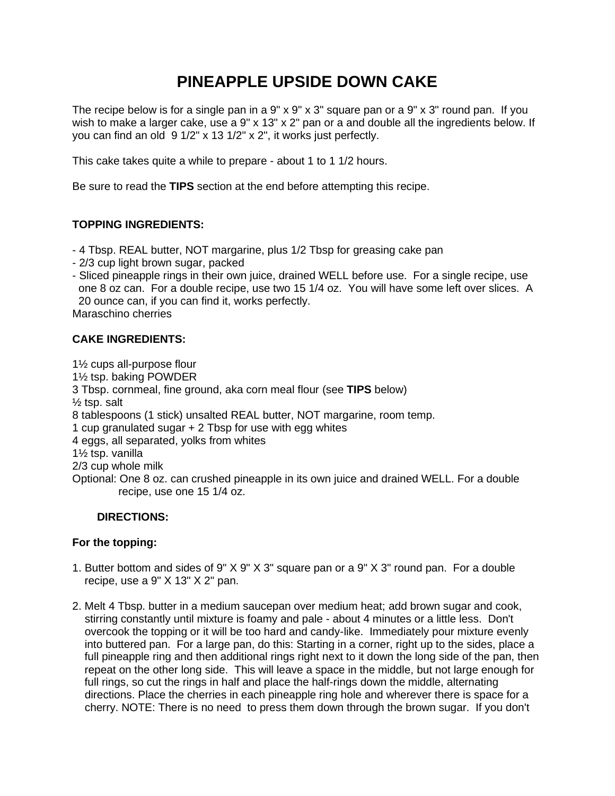# **PINEAPPLE UPSIDE DOWN CAKE**

The recipe below is for a single pan in a 9" x 9" x 3" square pan or a 9" x 3" round pan. If you wish to make a larger cake, use a 9" x 13" x 2" pan or a and double all the ingredients below. If you can find an old 9 1/2" x 13 1/2" x 2", it works just perfectly.

This cake takes quite a while to prepare - about 1 to 1 1/2 hours.

Be sure to read the **TIPS** section at the end before attempting this recipe.

#### **TOPPING INGREDIENTS:**

- 4 Tbsp. REAL butter, NOT margarine, plus 1/2 Tbsp for greasing cake pan
- 2/3 cup light brown sugar, packed
- Sliced pineapple rings in their own juice, drained WELL before use. For a single recipe, use one 8 oz can. For a double recipe, use two 15 1/4 oz. You will have some left over slices. A 20 ounce can, if you can find it, works perfectly.

Maraschino cherries

#### **CAKE INGREDIENTS:**

1½ cups all-purpose flour 1½ tsp. baking POWDER 3 Tbsp. cornmeal, fine ground, aka corn meal flour (see **TIPS** below)  $\frac{1}{2}$  tsp. salt 8 tablespoons (1 stick) unsalted REAL butter, NOT margarine, room temp. 1 cup granulated sugar + 2 Tbsp for use with egg whites 4 eggs, all separated, yolks from whites 1½ tsp. vanilla 2/3 cup whole milk Optional: One 8 oz. can crushed pineapple in its own juice and drained WELL. For a double recipe, use one 15 1/4 oz.

#### **DIRECTIONS:**

#### **For the topping:**

- 1. Butter bottom and sides of 9" X 9" X 3" square pan or a 9" X 3" round pan. For a double recipe, use a 9" X 13" X 2" pan.
- 2. Melt 4 Tbsp. butter in a medium saucepan over medium heat; add brown sugar and cook, stirring constantly until mixture is foamy and pale - about 4 minutes or a little less. Don't overcook the topping or it will be too hard and candy-like. Immediately pour mixture evenly into buttered pan. For a large pan, do this: Starting in a corner, right up to the sides, place a full pineapple ring and then additional rings right next to it down the long side of the pan, then repeat on the other long side. This will leave a space in the middle, but not large enough for full rings, so cut the rings in half and place the half-rings down the middle, alternating directions. Place the cherries in each pineapple ring hole and wherever there is space for a cherry. NOTE: There is no need to press them down through the brown sugar. If you don't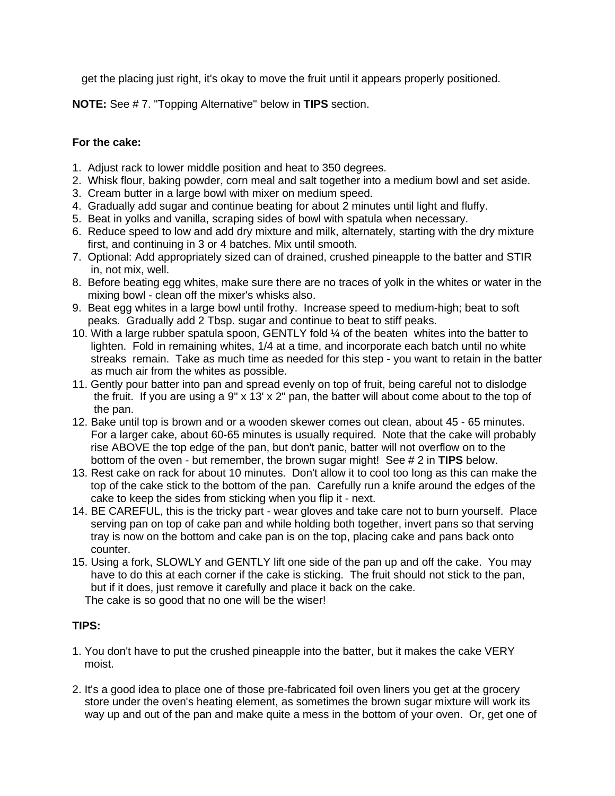get the placing just right, it's okay to move the fruit until it appears properly positioned.

**NOTE:** See # 7. "Topping Alternative" below in **TIPS** section.

### **For the cake:**

- 1. Adjust rack to lower middle position and heat to 350 degrees.
- 2. Whisk flour, baking powder, corn meal and salt together into a medium bowl and set aside.
- 3. Cream butter in a large bowl with mixer on medium speed.
- 4. Gradually add sugar and continue beating for about 2 minutes until light and fluffy.
- 5. Beat in yolks and vanilla, scraping sides of bowl with spatula when necessary.
- 6. Reduce speed to low and add dry mixture and milk, alternately, starting with the dry mixture first, and continuing in 3 or 4 batches. Mix until smooth.
- 7. Optional: Add appropriately sized can of drained, crushed pineapple to the batter and STIR in, not mix, well.
- 8. Before beating egg whites, make sure there are no traces of yolk in the whites or water in the mixing bowl - clean off the mixer's whisks also.
- 9. Beat egg whites in a large bowl until frothy. Increase speed to medium-high; beat to soft peaks. Gradually add 2 Tbsp. sugar and continue to beat to stiff peaks.
- 10. With a large rubber spatula spoon, GENTLY fold ¼ of the beaten whites into the batter to lighten. Fold in remaining whites, 1/4 at a time, and incorporate each batch until no white streaks remain. Take as much time as needed for this step - you want to retain in the batter as much air from the whites as possible.
- 11. Gently pour batter into pan and spread evenly on top of fruit, being careful not to dislodge the fruit. If you are using a 9" x 13' x 2" pan, the batter will about come about to the top of the pan.
- 12. Bake until top is brown and or a wooden skewer comes out clean, about 45 65 minutes. For a larger cake, about 60-65 minutes is usually required. Note that the cake will probably rise ABOVE the top edge of the pan, but don't panic, batter will not overflow on to the bottom of the oven - but remember, the brown sugar might! See # 2 in **TIPS** below.
- 13. Rest cake on rack for about 10 minutes. Don't allow it to cool too long as this can make the top of the cake stick to the bottom of the pan. Carefully run a knife around the edges of the cake to keep the sides from sticking when you flip it - next.
- 14. BE CAREFUL, this is the tricky part wear gloves and take care not to burn yourself. Place serving pan on top of cake pan and while holding both together, invert pans so that serving tray is now on the bottom and cake pan is on the top, placing cake and pans back onto counter.
- 15. Using a fork, SLOWLY and GENTLY lift one side of the pan up and off the cake. You may have to do this at each corner if the cake is sticking. The fruit should not stick to the pan, but if it does, just remove it carefully and place it back on the cake.

The cake is so good that no one will be the wiser!

## **TIPS:**

- 1. You don't have to put the crushed pineapple into the batter, but it makes the cake VERY moist.
- 2. It's a good idea to place one of those pre-fabricated foil oven liners you get at the grocery store under the oven's heating element, as sometimes the brown sugar mixture will work its way up and out of the pan and make quite a mess in the bottom of your oven. Or, get one of